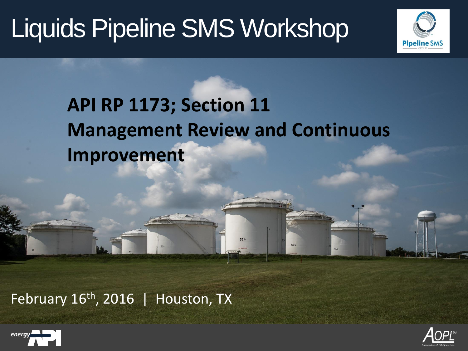

## **API RP 1173; Section 11 Management Review and Continuous Improvement**

535

February  $16<sup>th</sup>$ , 2016 | Houston, TX



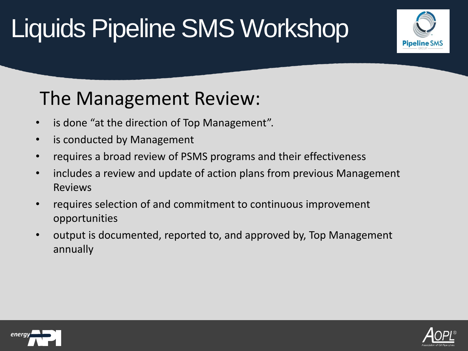

## The Management Review:

- is done "at the direction of Top Management".
- is conducted by Management
- requires a broad review of PSMS programs and their effectiveness
- includes a review and update of action plans from previous Management Reviews
- requires selection of and commitment to continuous improvement opportunities
- output is documented, reported to, and approved by, Top Management annually



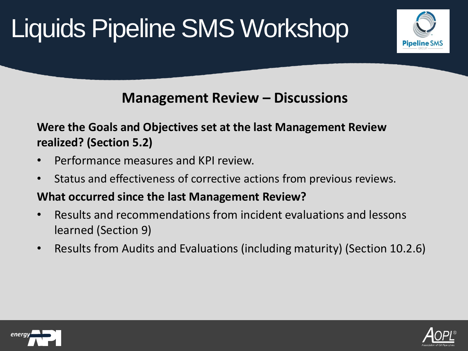

### **Management Review – Discussions**

#### **Were the Goals and Objectives set at the last Management Review realized? (Section 5.2)**

- Performance measures and KPI review.
- Status and effectiveness of corrective actions from previous reviews.

#### **What occurred since the last Management Review?**

- Results and recommendations from incident evaluations and lessons learned (Section 9)
- Results from Audits and Evaluations (including maturity) (Section 10.2.6)



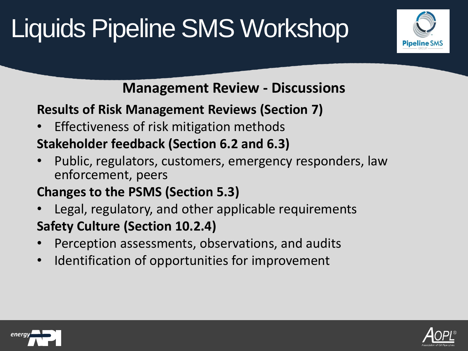

### **Management Review - Discussions**

### **Results of Risk Management Reviews (Section 7)**

• Effectiveness of risk mitigation methods

### **Stakeholder feedback (Section 6.2 and 6.3)**

• Public, regulators, customers, emergency responders, law enforcement, peers

### **Changes to the PSMS (Section 5.3)**

- Legal, regulatory, and other applicable requirements **Safety Culture (Section 10.2.4)**
- Perception assessments, observations, and audits
- Identification of opportunities for improvement



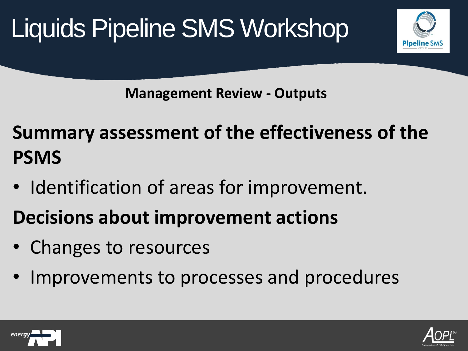



**Management Review - Outputs**

**Summary assessment of the effectiveness of the PSMS**

- Identification of areas for improvement.
- **Decisions about improvement actions**
- Changes to resources
- Improvements to processes and procedures